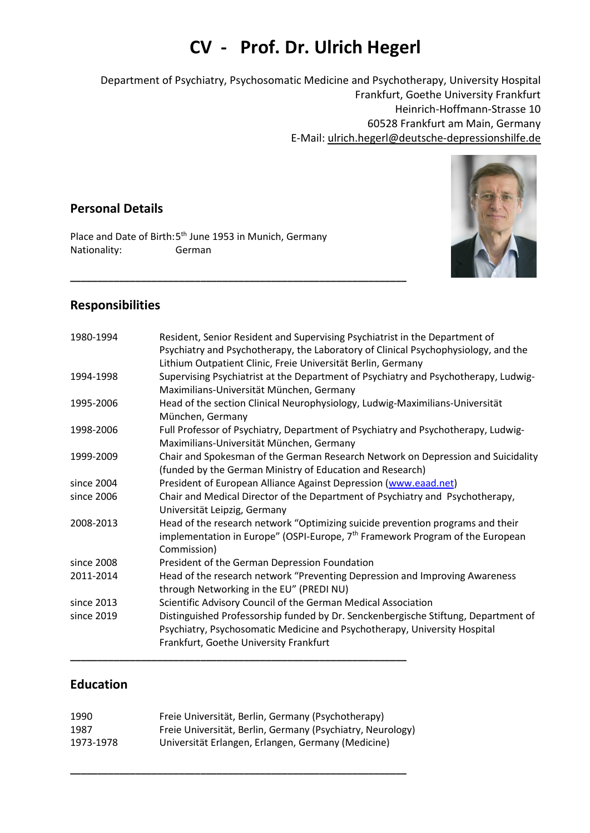# **CV - Prof. Dr. Ulrich Hegerl**

Department of Psychiatry, Psychosomatic Medicine and Psychotherapy, University Hospital Frankfurt, Goethe University Frankfurt Heinrich-Hoffmann-Strasse 10 60528 Frankfurt am Main, Germany E-Mail: ulrich.hegerl@deutsche-depressionshilfe.de

# **Personal Details**

Place and Date of Birth:5<sup>th</sup> June 1953 in Munich, Germany Nationality: German

**\_\_\_\_\_\_\_\_\_\_\_\_\_\_\_\_\_\_\_\_\_\_\_\_\_\_\_\_\_\_\_\_\_\_\_\_\_\_\_\_\_\_\_\_\_\_\_\_\_\_\_\_\_\_\_\_\_\_\_\_\_\_**



# **Responsibilities**

| 1980-1994  | Resident, Senior Resident and Supervising Psychiatrist in the Department of<br>Psychiatry and Psychotherapy, the Laboratory of Clinical Psychophysiology, and the<br>Lithium Outpatient Clinic, Freie Universität Berlin, Germany |  |
|------------|-----------------------------------------------------------------------------------------------------------------------------------------------------------------------------------------------------------------------------------|--|
| 1994-1998  | Supervising Psychiatrist at the Department of Psychiatry and Psychotherapy, Ludwig-<br>Maximilians-Universität München, Germany                                                                                                   |  |
| 1995-2006  | Head of the section Clinical Neurophysiology, Ludwig-Maximilians-Universität<br>München, Germany                                                                                                                                  |  |
| 1998-2006  | Full Professor of Psychiatry, Department of Psychiatry and Psychotherapy, Ludwig-<br>Maximilians-Universität München, Germany                                                                                                     |  |
| 1999-2009  | Chair and Spokesman of the German Research Network on Depression and Suicidality<br>(funded by the German Ministry of Education and Research)                                                                                     |  |
| since 2004 | President of European Alliance Against Depression (www.eaad.net)                                                                                                                                                                  |  |
| since 2006 | Chair and Medical Director of the Department of Psychiatry and Psychotherapy,<br>Universität Leipzig, Germany                                                                                                                     |  |
| 2008-2013  | Head of the research network "Optimizing suicide prevention programs and their<br>implementation in Europe" (OSPI-Europe, 7 <sup>th</sup> Framework Program of the European<br>Commission)                                        |  |
| since 2008 | President of the German Depression Foundation                                                                                                                                                                                     |  |
| 2011-2014  | Head of the research network "Preventing Depression and Improving Awareness<br>through Networking in the EU" (PREDI NU)                                                                                                           |  |
| since 2013 | Scientific Advisory Council of the German Medical Association                                                                                                                                                                     |  |
| since 2019 | Distinguished Professorship funded by Dr. Senckenbergische Stiftung, Department of                                                                                                                                                |  |
|            | Psychiatry, Psychosomatic Medicine and Psychotherapy, University Hospital                                                                                                                                                         |  |
|            | Frankfurt, Goethe University Frankfurt                                                                                                                                                                                            |  |

#### **Education**

| 1990      | Freie Universität, Berlin, Germany (Psychotherapy)         |
|-----------|------------------------------------------------------------|
| 1987      | Freie Universität, Berlin, Germany (Psychiatry, Neurology) |
| 1973-1978 | Universität Erlangen, Erlangen, Germany (Medicine)         |

**\_\_\_\_\_\_\_\_\_\_\_\_\_\_\_\_\_\_\_\_\_\_\_\_\_\_\_\_\_\_\_\_\_\_\_\_\_\_\_\_\_\_\_\_\_\_\_\_\_\_\_\_\_\_\_\_\_\_\_\_\_\_**